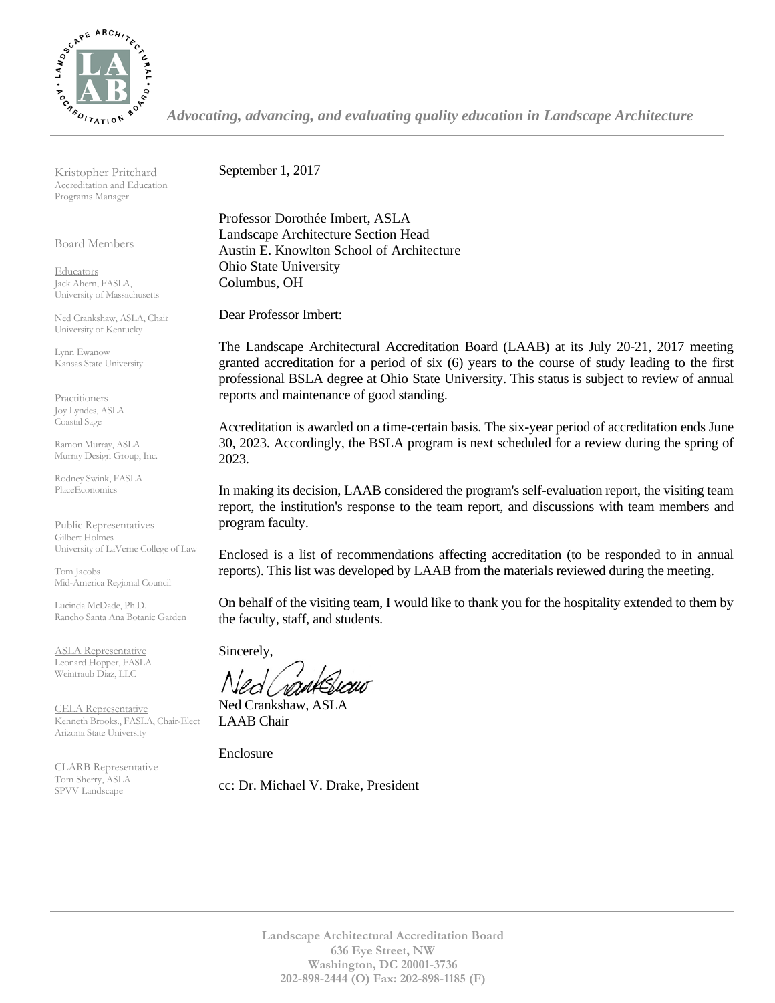

*Advocating, advancing, and evaluating quality education in Landscape Architecture*

Kristopher Pritchard Accreditation and Education Programs Manager

Board Members

**Educators** Jack Ahern, FASLA, University of Massachusetts

Ned Crankshaw, ASLA, Chair University of Kentucky

Lynn Ewanow Kansas State University

**Practitioners** Joy Lyndes, ASLA Coastal Sage

Ramon Murray, ASLA Murray Design Group, Inc.

Rodney Swink, FASLA PlaceEconomics

Public Representatives Gilbert Holmes University of LaVerne College of Law

Tom Jacobs Mid-America Regional Council

Lucinda McDade, Ph.D. Rancho Santa Ana Botanic Garden

ASLA Representative Leonard Hopper, FASLA Weintraub Diaz, LLC

CELA Representative Kenneth Brooks., FASLA, Chair-Elect Arizona State University

CLARB Representative Tom Sherry, ASLA SPVV Landscape

September 1, 2017

Professor Dorothée Imbert, ASLA Landscape Architecture Section Head Austin E. Knowlton School of Architecture Ohio State University Columbus, OH

Dear Professor Imbert:

The Landscape Architectural Accreditation Board (LAAB) at its July 20-21, 2017 meeting granted accreditation for a period of six (6) years to the course of study leading to the first professional BSLA degree at Ohio State University. This status is subject to review of annual reports and maintenance of good standing.

Accreditation is awarded on a time-certain basis. The six-year period of accreditation ends June 30, 2023. Accordingly, the BSLA program is next scheduled for a review during the spring of 2023.

In making its decision, LAAB considered the program's self-evaluation report, the visiting team report, the institution's response to the team report, and discussions with team members and program faculty.

Enclosed is a list of recommendations affecting accreditation (to be responded to in annual reports). This list was developed by LAAB from the materials reviewed during the meeting.

On behalf of the visiting team, I would like to thank you for the hospitality extended to them by the faculty, staff, and students.

Sincerely,

Ned Crankshaw, ASLA LAAB Chair

Enclosure

cc: Dr. Michael V. Drake, President